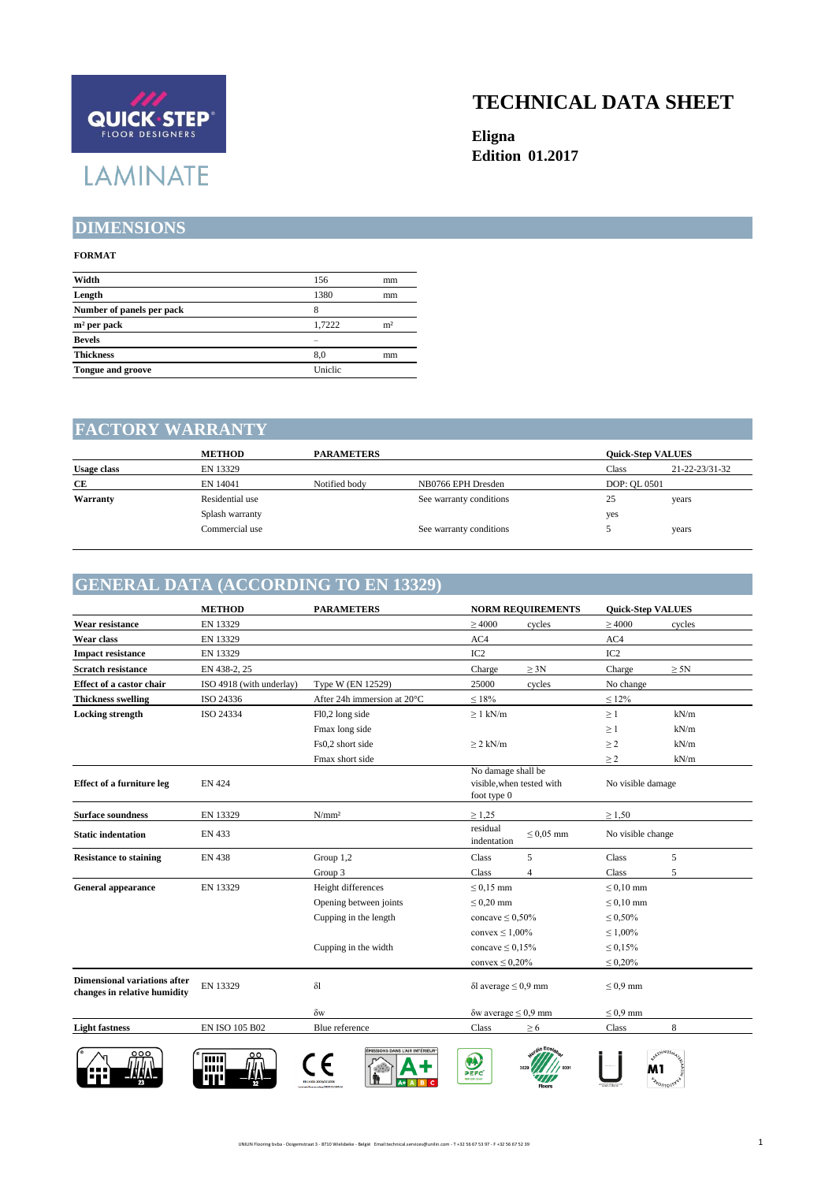

#### **TECHNICAL DATA SHEET**

**Eligna Edition 01.2017**

### **DIMENSIONS**

#### **FORMAT**

| Width                     | 156     | mm             |
|---------------------------|---------|----------------|
| Length                    | 1380    | mm             |
| Number of panels per pack | 8       |                |
| $m2$ per pack             | 1.7222  | m <sup>2</sup> |
| <b>Bevels</b>             |         |                |
| <b>Thickness</b>          | 8.0     | mm             |
| <b>Tongue and groove</b>  | Uniclic |                |
|                           |         |                |

#### **FACTORY WARRANTY**

|                    | <b>METHOD</b>   | <b>PARAMETERS</b> |                         |              | <b>Ouick-Step VALUES</b> |  |
|--------------------|-----------------|-------------------|-------------------------|--------------|--------------------------|--|
| <b>Usage class</b> | EN 13329        |                   |                         | Class        | 21-22-23/31-32           |  |
| СE                 | EN 14041        | Notified body     | NB0766 EPH Dresden      | DOP: OL 0501 |                          |  |
| Warranty           | Residential use |                   | See warranty conditions | 25           | years                    |  |
|                    | Splash warranty |                   |                         | yes          |                          |  |
|                    | Commercial use  |                   | See warranty conditions |              | years                    |  |

## **GENERAL DATA (ACCORDING TO EN 13329)**

| Type W (EN 12529)<br>After 24h immersion at 20°C<br>Fl0,2 long side<br>Fmax long side<br>Fs0,2 short side<br>Fmax short side | $\geq 4000$<br>AC4<br>IC <sub>2</sub><br>Charge<br>25000<br>$\leq 18\%$<br>$\geq 1$ kN/m<br>$\geq$ 2 kN/m<br>No damage shall be | cycles<br>$\geq 3N$<br>cycles | $\geq 4000$<br>AC4<br>IC <sub>2</sub><br>Charge<br>No change<br>$\leq 12\%$<br>$\geq 1$<br>$\geq 1$<br>$\geq$ 2<br>$\geq$ 2                                            | cycles<br>$\geq 5N$<br>kN/m<br>kN/m<br>kN/m |
|------------------------------------------------------------------------------------------------------------------------------|---------------------------------------------------------------------------------------------------------------------------------|-------------------------------|------------------------------------------------------------------------------------------------------------------------------------------------------------------------|---------------------------------------------|
|                                                                                                                              |                                                                                                                                 |                               |                                                                                                                                                                        |                                             |
|                                                                                                                              |                                                                                                                                 |                               |                                                                                                                                                                        |                                             |
|                                                                                                                              |                                                                                                                                 |                               |                                                                                                                                                                        |                                             |
|                                                                                                                              |                                                                                                                                 |                               |                                                                                                                                                                        |                                             |
|                                                                                                                              |                                                                                                                                 |                               |                                                                                                                                                                        |                                             |
|                                                                                                                              |                                                                                                                                 |                               |                                                                                                                                                                        |                                             |
|                                                                                                                              |                                                                                                                                 |                               |                                                                                                                                                                        |                                             |
|                                                                                                                              |                                                                                                                                 |                               |                                                                                                                                                                        |                                             |
|                                                                                                                              |                                                                                                                                 |                               |                                                                                                                                                                        |                                             |
|                                                                                                                              |                                                                                                                                 |                               |                                                                                                                                                                        | kN/m                                        |
|                                                                                                                              | visible, when tested with<br>foot type 0                                                                                        |                               | No visible damage                                                                                                                                                      |                                             |
| N/mm <sup>2</sup>                                                                                                            | $\geq 1,25$                                                                                                                     |                               | $\geq 1,50$                                                                                                                                                            |                                             |
|                                                                                                                              | residual<br>indentation                                                                                                         | $< 0.05$ mm                   | No visible change                                                                                                                                                      |                                             |
| Group 1,2                                                                                                                    | Class                                                                                                                           | 5                             | <b>Class</b>                                                                                                                                                           | 5                                           |
| Group 3                                                                                                                      | Class                                                                                                                           | $\overline{4}$                | Class                                                                                                                                                                  | 5                                           |
| Height differences                                                                                                           | $\leq$ 0.15 mm                                                                                                                  |                               | $\leq 0.10$ mm                                                                                                                                                         |                                             |
| Opening between joints                                                                                                       | $\leq$ 0.20 mm                                                                                                                  |                               | $\leq 0.10$ mm                                                                                                                                                         |                                             |
| Cupping in the length                                                                                                        |                                                                                                                                 |                               | $\leq 0,50\%$                                                                                                                                                          |                                             |
|                                                                                                                              |                                                                                                                                 |                               | $\leq 1,00\%$                                                                                                                                                          |                                             |
| Cupping in the width                                                                                                         |                                                                                                                                 |                               | $\leq 0.15\%$                                                                                                                                                          |                                             |
|                                                                                                                              |                                                                                                                                 |                               | $\leq 0.20\%$                                                                                                                                                          |                                             |
| $\delta$ l                                                                                                                   |                                                                                                                                 |                               | $\leq 0.9$ mm                                                                                                                                                          |                                             |
| $\delta w$                                                                                                                   |                                                                                                                                 |                               | $\leq 0.9$ mm                                                                                                                                                          |                                             |
| Blue reference                                                                                                               | Class                                                                                                                           | $\geq 6$                      | Class                                                                                                                                                                  | 8                                           |
|                                                                                                                              | MISSIONS DANS L'AIR INTÉRIEUR                                                                                                   | $\bullet$<br>PEFC             | concave $\leq 0,50\%$<br>convex $\leq 1,00\%$<br>concave $\leq 0.15\%$<br>convex $\leq 0.20\%$<br>$\delta$ l average $\leq 0.9$ mm<br>$\delta w$ average $\leq 0.9$ mm | <b>STENNUSA</b><br>M1<br><b>SyDUUDE</b>     |